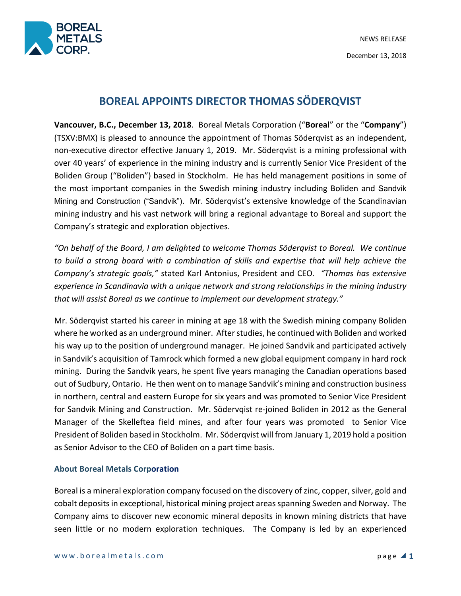

## **BOREAL APPOINTS DIRECTOR THOMAS SÖDERQVIST**

**Vancouver, B.C., December 13, 2018**. Boreal Metals Corporation ("**Boreal**" or the "**Company**") (TSXV:BMX) is pleased to announce the appointment of Thomas Söderqvist as an independent, non-executive director effective January 1, 2019. Mr. Söderqvist is a mining professional with over 40 years' of experience in the mining industry and is currently Senior Vice President of the Boliden Group ("Boliden") based in Stockholm. He has held management positions in some of the most important companies in the Swedish mining industry including Boliden and Sandvik Mining and Construction ("Sandvik"). Mr. Söderqvist's extensive knowledge of the Scandinavian mining industry and his vast network will bring a regional advantage to Boreal and support the Company's strategic and exploration objectives.

*"On behalf of the Board, I am delighted to welcome Thomas Söderqvist to Boreal. We continue to build a strong board with a combination of skills and expertise that will help achieve the Company's strategic goals,"* stated Karl Antonius, President and CEO*. "Thomas has extensive experience in Scandinavia with a unique network and strong relationships in the mining industry that will assist Boreal as we continue to implement our development strategy."*

Mr. Söderqvist started his career in mining at age 18 with the Swedish mining company Boliden where he worked as an underground miner. After studies, he continued with Boliden and worked his way up to the position of underground manager. He joined Sandvik and participated actively in Sandvik's acquisition of Tamrock which formed a new global equipment company in hard rock mining. During the Sandvik years, he spent five years managing the Canadian operations based out of Sudbury, Ontario. He then went on to manage Sandvik's mining and construction business in northern, central and eastern Europe for six years and was promoted to Senior Vice President for Sandvik Mining and Construction. Mr. Södervqist re-joined Boliden in 2012 as the General Manager of the Skelleftea field mines, and after four years was promoted to Senior Vice President of Boliden based in Stockholm. Mr. Söderqvist will from January 1, 2019 hold a position as Senior Advisor to the CEO of Boliden on a part time basis.

## **About Boreal Metals Corporation**

Boreal is a mineral exploration company focused on the discovery of zinc, copper, silver, gold and cobalt deposits in exceptional, historical mining project areas spanning Sweden and Norway. The Company aims to discover new economic mineral deposits in known mining districts that have seen little or no modern exploration techniques. The Company is led by an experienced